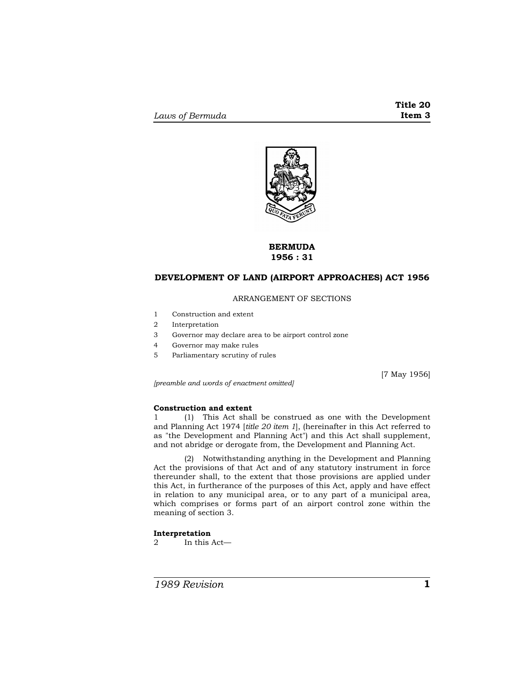

# **BERMUDA 1956 : 31**

## **DEVELOPMENT OF LAND (AIRPORT APPROACHES) ACT 1956**

## ARRANGEMENT OF SECTIONS

- 1 Construction and extent
- 2 Interpretation
- 3 Governor may declare area to be airport control zone
- 4 Governor may make rules
- 5 Parliamentary scrutiny of rules

[7 May 1956]

*[preamble and words of enactment omitted]* 

#### **Construction and extent**

1 (1) This Act shall be construed as one with the Development and Planning Act 1974 [*title 20 item 1*], (hereinafter in this Act referred to as "the Development and Planning Act") and this Act shall supplement, and not abridge or derogate from, the Development and Planning Act.

(2) Notwithstanding anything in the Development and Planning Act the provisions of that Act and of any statutory instrument in force thereunder shall, to the extent that those provisions are applied under this Act, in furtherance of the purposes of this Act, apply and have effect in relation to any municipal area, or to any part of a municipal area, which comprises or forms part of an airport control zone within the meaning of section 3.

#### **Interpretation**

2 In this Act—

*1989 Revision* **1**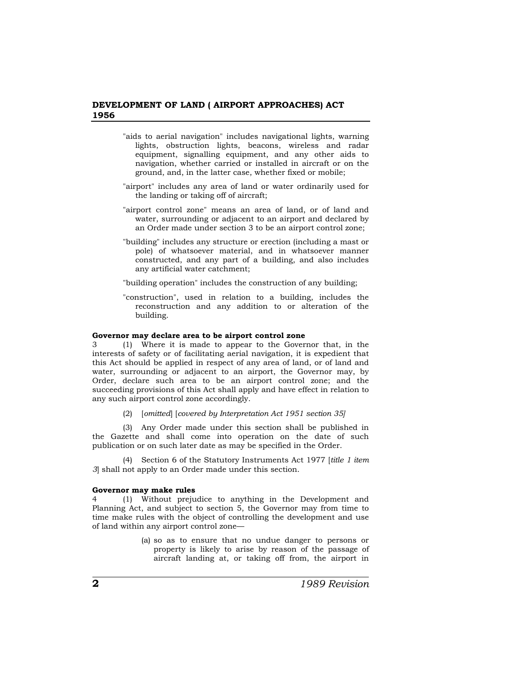## **DEVELOPMENT OF LAND ( AIRPORT APPROACHES) ACT 1956**

- "aids to aerial navigation" includes navigational lights, warning lights, obstruction lights, beacons, wireless and radar equipment, signalling equipment, and any other aids to navigation, whether carried or installed in aircraft or on the ground, and, in the latter case, whether fixed or mobile;
- "airport" includes any area of land or water ordinarily used for the landing or taking off of aircraft;
- "airport control zone" means an area of land, or of land and water, surrounding or adjacent to an airport and declared by an Order made under section 3 to be an airport control zone;
- "building" includes any structure or erection (including a mast or pole) of whatsoever material, and in whatsoever manner constructed, and any part of a building, and also includes any artificial water catchment;
- "building operation" includes the construction of any building;
- "construction", used in relation to a building, includes the reconstruction and any addition to or alteration of the building.

#### **Governor may declare area to be airport control zone**

3 (1) Where it is made to appear to the Governor that, in the interests of safety or of facilitating aerial navigation, it is expedient that this Act should be applied in respect of any area of land, or of land and water, surrounding or adjacent to an airport, the Governor may, by Order, declare such area to be an airport control zone; and the succeeding provisions of this Act shall apply and have effect in relation to any such airport control zone accordingly.

(2) [*omitted*] [*covered by Interpretation Act 1951 section 35]*

(3) Any Order made under this section shall be published in the Gazette and shall come into operation on the date of such publication or on such later date as may be specified in the Order.

(4) Section 6 of the Statutory Instruments Act 1977 [*title 1 item 3*] shall not apply to an Order made under this section.

#### **Governor may make rules**

4 (1) Without prejudice to anything in the Development and Planning Act, and subject to section 5, the Governor may from time to time make rules with the object of controlling the development and use of land within any airport control zone—

> (a) so as to ensure that no undue danger to persons or property is likely to arise by reason of the passage of aircraft landing at, or taking off from, the airport in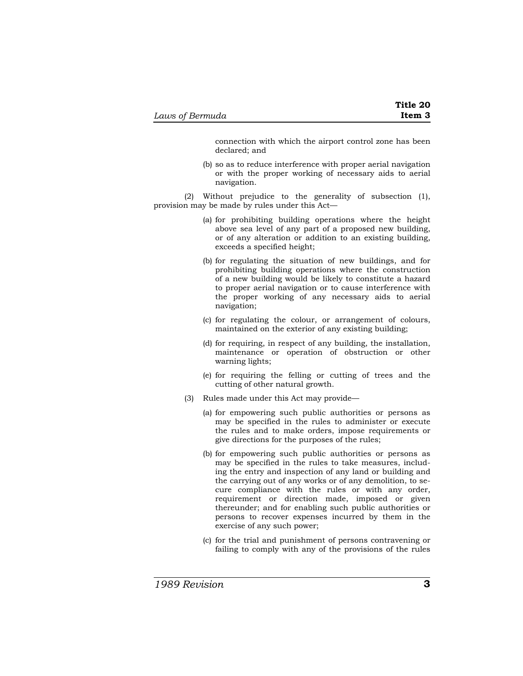connection with which the airport control zone has been declared; and

(b) so as to reduce interference with proper aerial navigation or with the proper working of necessary aids to aerial navigation.

(2) Without prejudice to the generality of subsection (1), provision may be made by rules under this Act—

- (a) for prohibiting building operations where the height above sea level of any part of a proposed new building, or of any alteration or addition to an existing building, exceeds a specified height;
- (b) for regulating the situation of new buildings, and for prohibiting building operations where the construction of a new building would be likely to constitute a hazard to proper aerial navigation or to cause interference with the proper working of any necessary aids to aerial navigation;
- (c) for regulating the colour, or arrangement of colours, maintained on the exterior of any existing building;
- (d) for requiring, in respect of any building, the installation, maintenance or operation of obstruction or other warning lights;
- (e) for requiring the felling or cutting of trees and the cutting of other natural growth.
- (3) Rules made under this Act may provide—
	- (a) for empowering such public authorities or persons as may be specified in the rules to administer or execute the rules and to make orders, impose requirements or give directions for the purposes of the rules;
	- (b) for empowering such public authorities or persons as may be specified in the rules to take measures, including the entry and inspection of any land or building and the carrying out of any works or of any demolition, to secure compliance with the rules or with any order, requirement or direction made, imposed or given thereunder; and for enabling such public authorities or persons to recover expenses incurred by them in the exercise of any such power;
	- (c) for the trial and punishment of persons contravening or failing to comply with any of the provisions of the rules